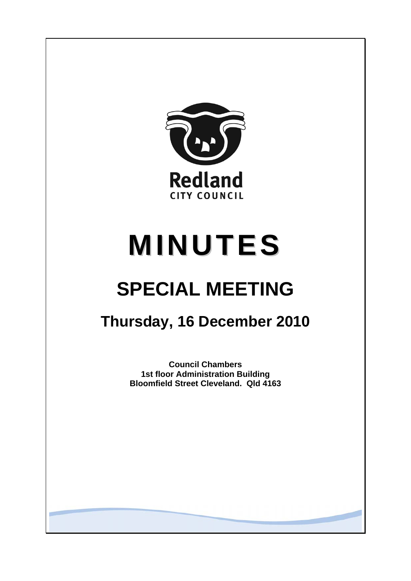

# **MINUTES**

## **SPECIAL MEETING**

### **Thursday, 16 December 2010**

**Council Chambers 1st floor Administration Building Bloomfield Street Cleveland. Qld 4163**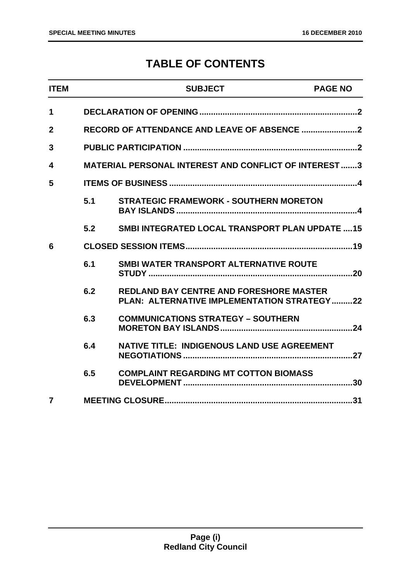#### **TABLE OF CONTENTS**

| <b>ITEM</b>    |     | <b>SUBJECT</b>                                                                                | <b>PAGE NO</b> |
|----------------|-----|-----------------------------------------------------------------------------------------------|----------------|
| 1              |     |                                                                                               |                |
| $\overline{2}$ |     |                                                                                               |                |
| 3              |     |                                                                                               |                |
| 4              |     | <b>MATERIAL PERSONAL INTEREST AND CONFLICT OF INTEREST3</b>                                   |                |
| 5              |     |                                                                                               |                |
|                | 5.1 | <b>STRATEGIC FRAMEWORK - SOUTHERN MORETON</b>                                                 |                |
|                | 5.2 | <b>SMBI INTEGRATED LOCAL TRANSPORT PLAN UPDATE 15</b>                                         |                |
| 6              |     |                                                                                               |                |
|                | 6.1 | SMBI WATER TRANSPORT ALTERNATIVE ROUTE                                                        |                |
|                | 6.2 | <b>REDLAND BAY CENTRE AND FORESHORE MASTER</b><br>PLAN: ALTERNATIVE IMPLEMENTATION STRATEGY22 |                |
|                | 6.3 | <b>COMMUNICATIONS STRATEGY - SOUTHERN</b>                                                     |                |
|                | 6.4 | <b>NATIVE TITLE: INDIGENOUS LAND USE AGREEMENT</b>                                            |                |
|                | 6.5 | <b>COMPLAINT REGARDING MT COTTON BIOMASS</b>                                                  |                |
| $\overline{7}$ |     |                                                                                               |                |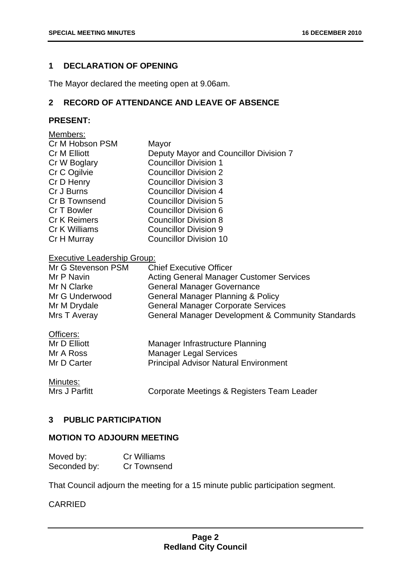#### <span id="page-2-0"></span>**1 DECLARATION OF OPENING**

The Mayor declared the meeting open at 9.06am.

#### **2 RECORD OF ATTENDANCE AND LEAVE OF ABSENCE**

#### **PRESENT:**

| Members:            |                                        |
|---------------------|----------------------------------------|
| Cr M Hobson PSM     | Mayor                                  |
| Cr M Elliott        | Deputy Mayor and Councillor Division 7 |
| Cr W Boglary        | <b>Councillor Division 1</b>           |
| Cr C Ogilvie        | <b>Councillor Division 2</b>           |
| Cr D Henry          | <b>Councillor Division 3</b>           |
| Cr J Burns          | <b>Councillor Division 4</b>           |
| Cr B Townsend       | <b>Councillor Division 5</b>           |
| Cr T Bowler         | Councillor Division 6                  |
| <b>Cr K Reimers</b> | <b>Councillor Division 8</b>           |
| Cr K Williams       | Councillor Division 9                  |
| Cr H Murray         | <b>Councillor Division 10</b>          |

#### Executive Leadership Group:

| Mr G Stevenson PSM | <b>Chief Executive Officer</b>                               |
|--------------------|--------------------------------------------------------------|
| Mr P Navin         | <b>Acting General Manager Customer Services</b>              |
| Mr N Clarke        | <b>General Manager Governance</b>                            |
| Mr G Underwood     | <b>General Manager Planning &amp; Policy</b>                 |
| Mr M Drydale       | <b>General Manager Corporate Services</b>                    |
| Mrs T Averay       | <b>General Manager Development &amp; Community Standards</b> |

| Officers:    |                                              |  |
|--------------|----------------------------------------------|--|
| Mr D Elliott | Manager Infrastructure Planning              |  |
| Mr A Ross    | <b>Manager Legal Services</b>                |  |
| Mr D Carter  | <b>Principal Advisor Natural Environment</b> |  |
| Minutes:     |                                              |  |

<u>Minutes.</u><br>Mrs J Parfitt Corporate Meetings & Registers Team Leader

#### **3 PUBLIC PARTICIPATION**

#### **MOTION TO ADJOURN MEETING**

| Moved by:    | <b>Cr Williams</b> |
|--------------|--------------------|
| Seconded by: | <b>Cr Townsend</b> |

That Council adjourn the meeting for a 15 minute public participation segment.

#### CARRIED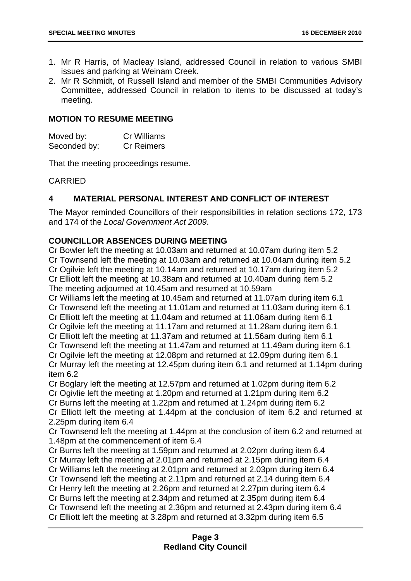- <span id="page-3-0"></span>1. Mr R Harris, of Macleay Island, addressed Council in relation to various SMBI issues and parking at Weinam Creek.
- 2. Mr R Schmidt, of Russell Island and member of the SMBI Communities Advisory Committee, addressed Council in relation to items to be discussed at today's meeting.

#### **MOTION TO RESUME MEETING**

| Moved by:    | Cr Williams       |
|--------------|-------------------|
| Seconded by: | <b>Cr Reimers</b> |

That the meeting proceedings resume.

#### CARRIED

#### **4 MATERIAL PERSONAL INTEREST AND CONFLICT OF INTEREST**

The Mayor reminded Councillors of their responsibilities in relation sections 172, 173 and 174 of the *Local Government Act 2009*.

#### **COUNCILLOR ABSENCES DURING MEETING**

Cr Bowler left the meeting at 10.03am and returned at 10.07am during item 5.2 Cr Townsend left the meeting at 10.03am and returned at 10.04am during item 5.2 Cr Ogilvie left the meeting at 10.14am and returned at 10.17am during item 5.2 Cr Elliott left the meeting at 10.38am and returned at 10.40am during item 5.2 The meeting adjourned at 10.45am and resumed at 10.59am Cr Williams left the meeting at 10.45am and returned at 11.07am during item 6.1 Cr Townsend left the meeting at 11.01am and returned at 11.03am during item 6.1 Cr Elliott left the meeting at 11.04am and returned at 11.06am during item 6.1 Cr Ogilvie left the meeting at 11.17am and returned at 11.28am during item 6.1 Cr Elliott left the meeting at 11.37am and returned at 11.56am during item 6.1 Cr Townsend left the meeting at 11.47am and returned at 11.49am during item 6.1 Cr Ogilvie left the meeting at 12.08pm and returned at 12.09pm during item 6.1 Cr Murray left the meeting at 12.45pm during item 6.1 and returned at 1.14pm during item 6.2 Cr Boglary left the meeting at 12.57pm and returned at 1.02pm during item 6.2 Cr Ogivlie left the meeting at 1.20pm and returned at 1.21pm during item 6.2 Cr Burns left the meeting at 1.22pm and returned at 1.24pm during item 6.2 Cr Elliott left the meeting at 1.44pm at the conclusion of item 6.2 and returned at 2.25pm during item 6.4 Cr Townsend left the meeting at 1.44pm at the conclusion of item 6.2 and returned at 1.48pm at the commencement of item 6.4 Cr Burns left the meeting at 1.59pm and returned at 2.02pm during item 6.4 Cr Murray left the meeting at 2.01pm and returned at 2.15pm during item 6.4 Cr Williams left the meeting at 2.01pm and returned at 2.03pm during item 6.4 Cr Townsend left the meeting at 2.11pm and returned at 2.14 during item 6.4 Cr Henry left the meeting at 2.26pm and returned at 2.27pm during item 6.4 Cr Burns left the meeting at 2.34pm and returned at 2.35pm during item 6.4 Cr Townsend left the meeting at 2.36pm and returned at 2.43pm during item 6.4 Cr Elliott left the meeting at 3.28pm and returned at 3.32pm during item 6.5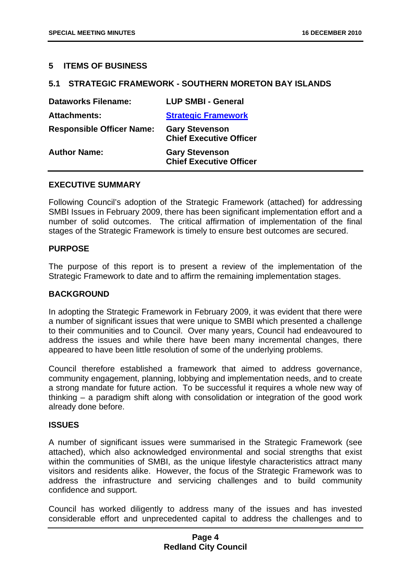#### <span id="page-4-0"></span>**5 ITEMS OF BUSINESS**

#### **5.1 STRATEGIC FRAMEWORK - SOUTHERN MORETON BAY ISLANDS**

| <b>Dataworks Filename:</b>       | <b>LUP SMBI - General</b>                               |
|----------------------------------|---------------------------------------------------------|
| <b>Attachments:</b>              | <b>Strategic Framework</b>                              |
| <b>Responsible Officer Name:</b> | <b>Gary Stevenson</b><br><b>Chief Executive Officer</b> |
| <b>Author Name:</b>              | <b>Gary Stevenson</b><br><b>Chief Executive Officer</b> |

#### **EXECUTIVE SUMMARY**

Following Council's adoption of the Strategic Framework (attached) for addressing SMBI Issues in February 2009, there has been significant implementation effort and a number of solid outcomes. The critical affirmation of implementation of the final stages of the Strategic Framework is timely to ensure best outcomes are secured.

#### **PURPOSE**

The purpose of this report is to present a review of the implementation of the Strategic Framework to date and to affirm the remaining implementation stages.

#### **BACKGROUND**

In adopting the Strategic Framework in February 2009, it was evident that there were a number of significant issues that were unique to SMBI which presented a challenge to their communities and to Council. Over many years, Council had endeavoured to address the issues and while there have been many incremental changes, there appeared to have been little resolution of some of the underlying problems.

Council therefore established a framework that aimed to address governance, community engagement, planning, lobbying and implementation needs, and to create a strong mandate for future action. To be successful it requires a whole new way of thinking – a paradigm shift along with consolidation or integration of the good work already done before.

#### **ISSUES**

A number of significant issues were summarised in the Strategic Framework (see attached), which also acknowledged environmental and social strengths that exist within the communities of SMBI, as the unique lifestyle characteristics attract many visitors and residents alike. However, the focus of the Strategic Framework was to address the infrastructure and servicing challenges and to build community confidence and support.

Council has worked diligently to address many of the issues and has invested considerable effort and unprecedented capital to address the challenges and to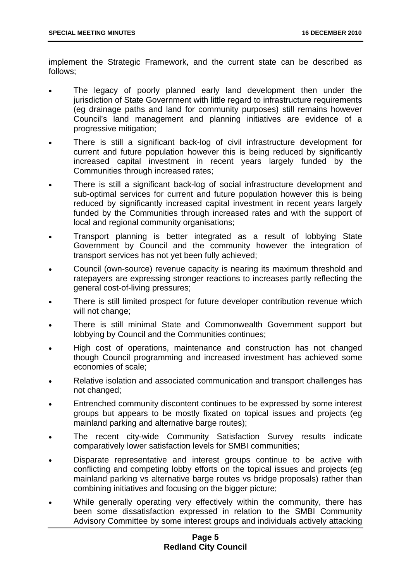implement the Strategic Framework, and the current state can be described as follows;

- The legacy of poorly planned early land development then under the jurisdiction of State Government with little regard to infrastructure requirements (eg drainage paths and land for community purposes) still remains however Council's land management and planning initiatives are evidence of a progressive mitigation;
- There is still a significant back-log of civil infrastructure development for current and future population however this is being reduced by significantly increased capital investment in recent years largely funded by the Communities through increased rates;
- There is still a significant back-log of social infrastructure development and sub-optimal services for current and future population however this is being reduced by significantly increased capital investment in recent years largely funded by the Communities through increased rates and with the support of local and regional community organisations;
- Transport planning is better integrated as a result of lobbying State Government by Council and the community however the integration of transport services has not yet been fully achieved;
- Council (own-source) revenue capacity is nearing its maximum threshold and ratepayers are expressing stronger reactions to increases partly reflecting the general cost-of-living pressures;
- There is still limited prospect for future developer contribution revenue which will not change;
- There is still minimal State and Commonwealth Government support but lobbying by Council and the Communities continues;
- High cost of operations, maintenance and construction has not changed though Council programming and increased investment has achieved some economies of scale;
- Relative isolation and associated communication and transport challenges has not changed;
- Entrenched community discontent continues to be expressed by some interest groups but appears to be mostly fixated on topical issues and projects (eg mainland parking and alternative barge routes);
- The recent city-wide Community Satisfaction Survey results indicate comparatively lower satisfaction levels for SMBI communities;
- Disparate representative and interest groups continue to be active with conflicting and competing lobby efforts on the topical issues and projects (eg mainland parking vs alternative barge routes vs bridge proposals) rather than combining initiatives and focusing on the bigger picture;
- While generally operating very effectively within the community, there has been some dissatisfaction expressed in relation to the SMBI Community Advisory Committee by some interest groups and individuals actively attacking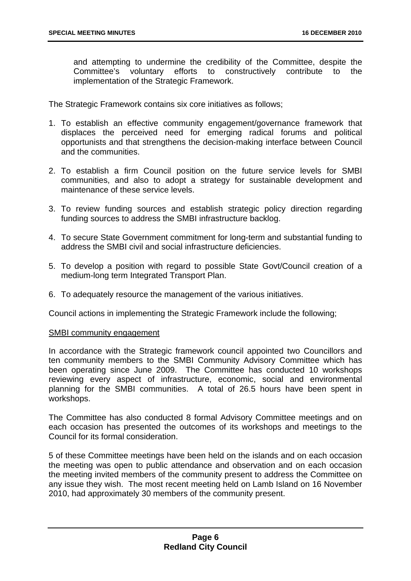and attempting to undermine the credibility of the Committee, despite the Committee's voluntary efforts to constructively contribute to the implementation of the Strategic Framework.

The Strategic Framework contains six core initiatives as follows;

- 1. To establish an effective community engagement/governance framework that displaces the perceived need for emerging radical forums and political opportunists and that strengthens the decision-making interface between Council and the communities.
- 2. To establish a firm Council position on the future service levels for SMBI communities, and also to adopt a strategy for sustainable development and maintenance of these service levels.
- 3. To review funding sources and establish strategic policy direction regarding funding sources to address the SMBI infrastructure backlog.
- 4. To secure State Government commitment for long-term and substantial funding to address the SMBI civil and social infrastructure deficiencies.
- 5. To develop a position with regard to possible State Govt/Council creation of a medium-long term Integrated Transport Plan.
- 6. To adequately resource the management of the various initiatives.

Council actions in implementing the Strategic Framework include the following;

#### SMBI community engagement

In accordance with the Strategic framework council appointed two Councillors and ten community members to the SMBI Community Advisory Committee which has been operating since June 2009. The Committee has conducted 10 workshops reviewing every aspect of infrastructure, economic, social and environmental planning for the SMBI communities. A total of 26.5 hours have been spent in workshops.

The Committee has also conducted 8 formal Advisory Committee meetings and on each occasion has presented the outcomes of its workshops and meetings to the Council for its formal consideration.

5 of these Committee meetings have been held on the islands and on each occasion the meeting was open to public attendance and observation and on each occasion the meeting invited members of the community present to address the Committee on any issue they wish. The most recent meeting held on Lamb Island on 16 November 2010, had approximately 30 members of the community present.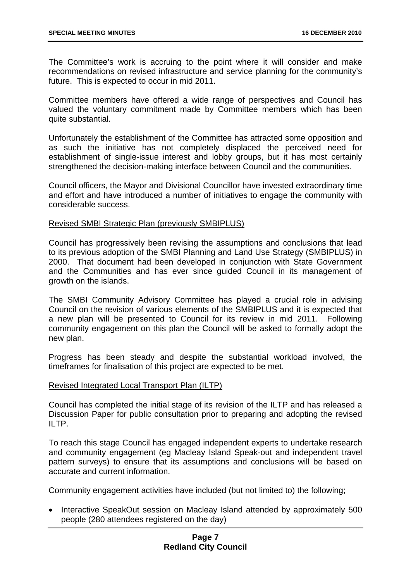The Committee's work is accruing to the point where it will consider and make recommendations on revised infrastructure and service planning for the community's future. This is expected to occur in mid 2011.

Committee members have offered a wide range of perspectives and Council has valued the voluntary commitment made by Committee members which has been quite substantial.

Unfortunately the establishment of the Committee has attracted some opposition and as such the initiative has not completely displaced the perceived need for establishment of single-issue interest and lobby groups, but it has most certainly strengthened the decision-making interface between Council and the communities.

Council officers, the Mayor and Divisional Councillor have invested extraordinary time and effort and have introduced a number of initiatives to engage the community with considerable success.

#### Revised SMBI Strategic Plan (previously SMBIPLUS)

Council has progressively been revising the assumptions and conclusions that lead to its previous adoption of the SMBI Planning and Land Use Strategy (SMBIPLUS) in 2000. That document had been developed in conjunction with State Government and the Communities and has ever since guided Council in its management of growth on the islands.

The SMBI Community Advisory Committee has played a crucial role in advising Council on the revision of various elements of the SMBIPLUS and it is expected that a new plan will be presented to Council for its review in mid 2011. Following community engagement on this plan the Council will be asked to formally adopt the new plan.

Progress has been steady and despite the substantial workload involved, the timeframes for finalisation of this project are expected to be met.

#### Revised Integrated Local Transport Plan (ILTP)

Council has completed the initial stage of its revision of the ILTP and has released a Discussion Paper for public consultation prior to preparing and adopting the revised ILTP.

To reach this stage Council has engaged independent experts to undertake research and community engagement (eg Macleay Island Speak-out and independent travel pattern surveys) to ensure that its assumptions and conclusions will be based on accurate and current information.

Community engagement activities have included (but not limited to) the following;

• Interactive SpeakOut session on Macleay Island attended by approximately 500 people (280 attendees registered on the day)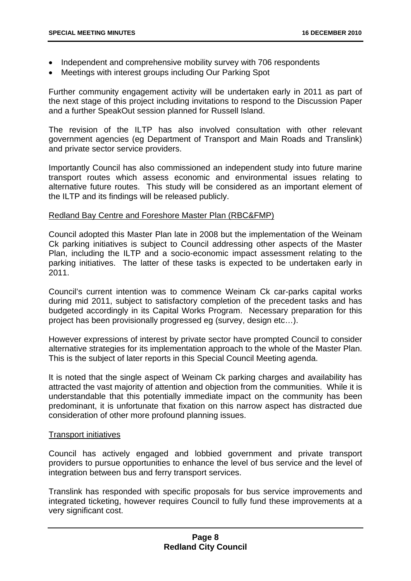- Independent and comprehensive mobility survey with 706 respondents
- Meetings with interest groups including Our Parking Spot

Further community engagement activity will be undertaken early in 2011 as part of the next stage of this project including invitations to respond to the Discussion Paper and a further SpeakOut session planned for Russell Island.

The revision of the ILTP has also involved consultation with other relevant government agencies (eg Department of Transport and Main Roads and Translink) and private sector service providers.

Importantly Council has also commissioned an independent study into future marine transport routes which assess economic and environmental issues relating to alternative future routes. This study will be considered as an important element of the ILTP and its findings will be released publicly.

#### Redland Bay Centre and Foreshore Master Plan (RBC&FMP)

Council adopted this Master Plan late in 2008 but the implementation of the Weinam Ck parking initiatives is subject to Council addressing other aspects of the Master Plan, including the ILTP and a socio-economic impact assessment relating to the parking initiatives. The latter of these tasks is expected to be undertaken early in 2011.

Council's current intention was to commence Weinam Ck car-parks capital works during mid 2011, subject to satisfactory completion of the precedent tasks and has budgeted accordingly in its Capital Works Program. Necessary preparation for this project has been provisionally progressed eg (survey, design etc…).

However expressions of interest by private sector have prompted Council to consider alternative strategies for its implementation approach to the whole of the Master Plan. This is the subject of later reports in this Special Council Meeting agenda.

It is noted that the single aspect of Weinam Ck parking charges and availability has attracted the vast majority of attention and objection from the communities. While it is understandable that this potentially immediate impact on the community has been predominant, it is unfortunate that fixation on this narrow aspect has distracted due consideration of other more profound planning issues.

#### Transport initiatives

Council has actively engaged and lobbied government and private transport providers to pursue opportunities to enhance the level of bus service and the level of integration between bus and ferry transport services.

Translink has responded with specific proposals for bus service improvements and integrated ticketing, however requires Council to fully fund these improvements at a very significant cost.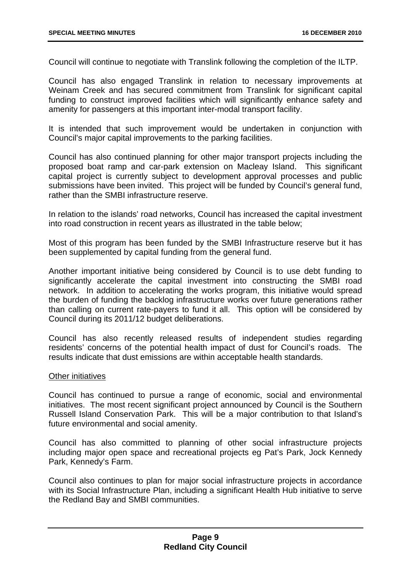Council will continue to negotiate with Translink following the completion of the ILTP.

Council has also engaged Translink in relation to necessary improvements at Weinam Creek and has secured commitment from Translink for significant capital funding to construct improved facilities which will significantly enhance safety and amenity for passengers at this important inter-modal transport facility.

It is intended that such improvement would be undertaken in conjunction with Council's major capital improvements to the parking facilities.

Council has also continued planning for other major transport projects including the proposed boat ramp and car-park extension on Macleay Island. This significant capital project is currently subject to development approval processes and public submissions have been invited. This project will be funded by Council's general fund, rather than the SMBI infrastructure reserve.

In relation to the islands' road networks, Council has increased the capital investment into road construction in recent years as illustrated in the table below;

Most of this program has been funded by the SMBI Infrastructure reserve but it has been supplemented by capital funding from the general fund.

Another important initiative being considered by Council is to use debt funding to significantly accelerate the capital investment into constructing the SMBI road network. In addition to accelerating the works program, this initiative would spread the burden of funding the backlog infrastructure works over future generations rather than calling on current rate-payers to fund it all. This option will be considered by Council during its 2011/12 budget deliberations.

Council has also recently released results of independent studies regarding residents' concerns of the potential health impact of dust for Council's roads. The results indicate that dust emissions are within acceptable health standards.

#### Other initiatives

Council has continued to pursue a range of economic, social and environmental initiatives. The most recent significant project announced by Council is the Southern Russell Island Conservation Park. This will be a major contribution to that Island's future environmental and social amenity.

Council has also committed to planning of other social infrastructure projects including major open space and recreational projects eg Pat's Park, Jock Kennedy Park, Kennedy's Farm.

Council also continues to plan for major social infrastructure projects in accordance with its Social Infrastructure Plan, including a significant Health Hub initiative to serve the Redland Bay and SMBI communities.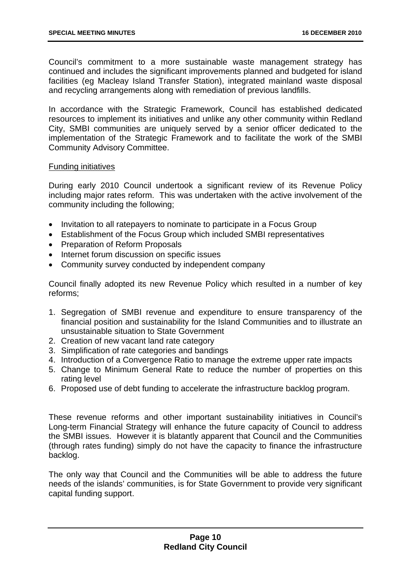Council's commitment to a more sustainable waste management strategy has continued and includes the significant improvements planned and budgeted for island facilities (eg Macleay Island Transfer Station), integrated mainland waste disposal and recycling arrangements along with remediation of previous landfills.

In accordance with the Strategic Framework, Council has established dedicated resources to implement its initiatives and unlike any other community within Redland City, SMBI communities are uniquely served by a senior officer dedicated to the implementation of the Strategic Framework and to facilitate the work of the SMBI Community Advisory Committee.

#### Funding initiatives

During early 2010 Council undertook a significant review of its Revenue Policy including major rates reform. This was undertaken with the active involvement of the community including the following;

- Invitation to all ratepayers to nominate to participate in a Focus Group
- Establishment of the Focus Group which included SMBI representatives
- Preparation of Reform Proposals
- Internet forum discussion on specific issues
- Community survey conducted by independent company

Council finally adopted its new Revenue Policy which resulted in a number of key reforms;

- 1. Segregation of SMBI revenue and expenditure to ensure transparency of the financial position and sustainability for the Island Communities and to illustrate an unsustainable situation to State Government
- 2. Creation of new vacant land rate category
- 3. Simplification of rate categories and bandings
- 4. Introduction of a Convergence Ratio to manage the extreme upper rate impacts
- 5. Change to Minimum General Rate to reduce the number of properties on this rating level
- 6. Proposed use of debt funding to accelerate the infrastructure backlog program.

These revenue reforms and other important sustainability initiatives in Council's Long-term Financial Strategy will enhance the future capacity of Council to address the SMBI issues. However it is blatantly apparent that Council and the Communities (through rates funding) simply do not have the capacity to finance the infrastructure backlog.

The only way that Council and the Communities will be able to address the future needs of the islands' communities, is for State Government to provide very significant capital funding support.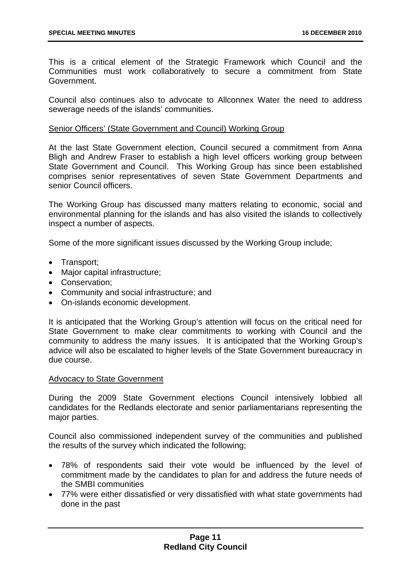This is a critical element of the Strategic Framework which Council and the Communities must work collaboratively to secure a commitment from State Government.

Council also continues also to advocate to Allconnex Water the need to address sewerage needs of the islands' communities.

#### Senior Officers' (State Government and Council) Working Group

At the last State Government election, Council secured a commitment from Anna Bligh and Andrew Fraser to establish a high level officers working group between State Government and Council. This Working Group has since been established comprises senior representatives of seven State Government Departments and senior Council officers.

The Working Group has discussed many matters relating to economic, social and environmental planning for the islands and has also visited the islands to collectively inspect a number of aspects.

Some of the more significant issues discussed by the Working Group include;

- Transport;
- Major capital infrastructure;
- Conservation;
- Community and social infrastructure; and
- On-islands economic development.

It is anticipated that the Working Group's attention will focus on the critical need for State Government to make clear commitments to working with Council and the community to address the many issues. It is anticipated that the Working Group's advice will also be escalated to higher levels of the State Government bureaucracy in due course.

#### Advocacy to State Government

During the 2009 State Government elections Council intensively lobbied all candidates for the Redlands electorate and senior parliamentarians representing the major parties.

Council also commissioned independent survey of the communities and published the results of the survey which indicated the following;

- 78% of respondents said their vote would be influenced by the level of commitment made by the candidates to plan for and address the future needs of the SMBI communities
- 77% were either dissatisfied or very dissatisfied with what state governments had done in the past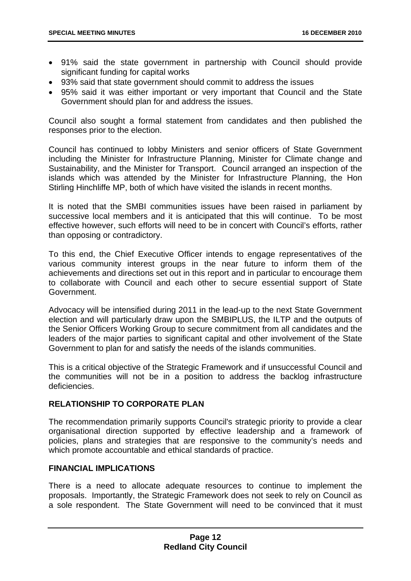- 91% said the state government in partnership with Council should provide significant funding for capital works
- 93% said that state government should commit to address the issues
- 95% said it was either important or very important that Council and the State Government should plan for and address the issues.

Council also sought a formal statement from candidates and then published the responses prior to the election.

Council has continued to lobby Ministers and senior officers of State Government including the Minister for Infrastructure Planning, Minister for Climate change and Sustainability, and the Minister for Transport. Council arranged an inspection of the islands which was attended by the Minister for Infrastructure Planning, the Hon Stirling Hinchliffe MP, both of which have visited the islands in recent months.

It is noted that the SMBI communities issues have been raised in parliament by successive local members and it is anticipated that this will continue. To be most effective however, such efforts will need to be in concert with Council's efforts, rather than opposing or contradictory.

To this end, the Chief Executive Officer intends to engage representatives of the various community interest groups in the near future to inform them of the achievements and directions set out in this report and in particular to encourage them to collaborate with Council and each other to secure essential support of State Government.

Advocacy will be intensified during 2011 in the lead-up to the next State Government election and will particularly draw upon the SMBIPLUS, the ILTP and the outputs of the Senior Officers Working Group to secure commitment from all candidates and the leaders of the major parties to significant capital and other involvement of the State Government to plan for and satisfy the needs of the islands communities.

This is a critical objective of the Strategic Framework and if unsuccessful Council and the communities will not be in a position to address the backlog infrastructure deficiencies.

#### **RELATIONSHIP TO CORPORATE PLAN**

The recommendation primarily supports Council's strategic priority to provide a clear organisational direction supported by effective leadership and a framework of policies, plans and strategies that are responsive to the community's needs and which promote accountable and ethical standards of practice.

#### **FINANCIAL IMPLICATIONS**

There is a need to allocate adequate resources to continue to implement the proposals. Importantly, the Strategic Framework does not seek to rely on Council as a sole respondent. The State Government will need to be convinced that it must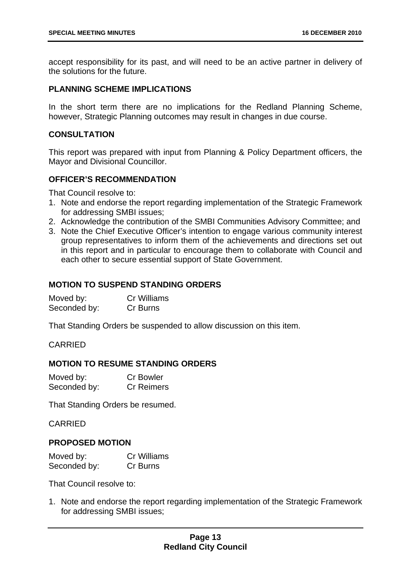accept responsibility for its past, and will need to be an active partner in delivery of the solutions for the future.

#### **PLANNING SCHEME IMPLICATIONS**

In the short term there are no implications for the Redland Planning Scheme, however, Strategic Planning outcomes may result in changes in due course.

#### **CONSULTATION**

This report was prepared with input from Planning & Policy Department officers, the Mayor and Divisional Councillor.

#### **OFFICER'S RECOMMENDATION**

That Council resolve to:

- 1. Note and endorse the report regarding implementation of the Strategic Framework for addressing SMBI issues;
- 2. Acknowledge the contribution of the SMBI Communities Advisory Committee; and
- 3. Note the Chief Executive Officer's intention to engage various community interest group representatives to inform them of the achievements and directions set out in this report and in particular to encourage them to collaborate with Council and each other to secure essential support of State Government.

#### **MOTION TO SUSPEND STANDING ORDERS**

| Moved by:    | <b>Cr Williams</b> |
|--------------|--------------------|
| Seconded by: | Cr Burns           |

That Standing Orders be suspended to allow discussion on this item.

#### CARRIED

#### **MOTION TO RESUME STANDING ORDERS**

| Moved by:    | <b>Cr Bowler</b>  |
|--------------|-------------------|
| Seconded by: | <b>Cr Reimers</b> |

That Standing Orders be resumed.

#### CARRIED

#### **PROPOSED MOTION**

| Moved by:    | Cr Williams |
|--------------|-------------|
| Seconded by: | Cr Burns    |

That Council resolve to:

1. Note and endorse the report regarding implementation of the Strategic Framework for addressing SMBI issues;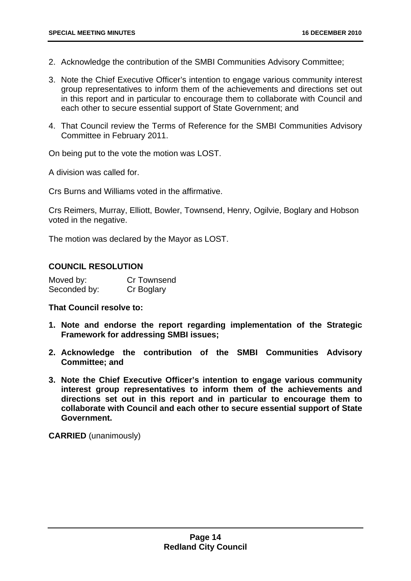- 2. Acknowledge the contribution of the SMBI Communities Advisory Committee;
- 3. Note the Chief Executive Officer's intention to engage various community interest group representatives to inform them of the achievements and directions set out in this report and in particular to encourage them to collaborate with Council and each other to secure essential support of State Government; and
- 4. That Council review the Terms of Reference for the SMBI Communities Advisory Committee in February 2011.

On being put to the vote the motion was LOST.

A division was called for.

Crs Burns and Williams voted in the affirmative.

Crs Reimers, Murray, Elliott, Bowler, Townsend, Henry, Ogilvie, Boglary and Hobson voted in the negative.

The motion was declared by the Mayor as LOST.

#### **COUNCIL RESOLUTION**

| Moved by:    | Cr Townsend |
|--------------|-------------|
| Seconded by: | Cr Boglary  |

#### **That Council resolve to:**

- **1. Note and endorse the report regarding implementation of the Strategic Framework for addressing SMBI issues;**
- **2. Acknowledge the contribution of the SMBI Communities Advisory Committee; and**
- **3. Note the Chief Executive Officer's intention to engage various community interest group representatives to inform them of the achievements and directions set out in this report and in particular to encourage them to collaborate with Council and each other to secure essential support of State Government.**

**CARRIED** (unanimously)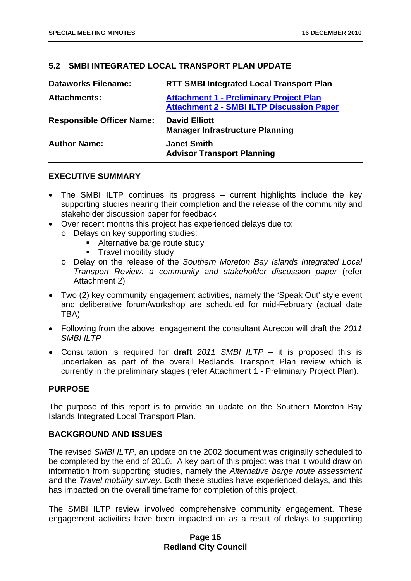#### <span id="page-15-0"></span>**5.2 SMBI INTEGRATED LOCAL TRANSPORT PLAN UPDATE**

| <b>Dataworks Filename:</b>       | <b>RTT SMBI Integrated Local Transport Plan</b>                                                    |
|----------------------------------|----------------------------------------------------------------------------------------------------|
| <b>Attachments:</b>              | <b>Attachment 1 - Preliminary Project Plan</b><br><b>Attachment 2 - SMBI ILTP Discussion Paper</b> |
| <b>Responsible Officer Name:</b> | <b>David Elliott</b><br><b>Manager Infrastructure Planning</b>                                     |
| <b>Author Name:</b>              | <b>Janet Smith</b><br><b>Advisor Transport Planning</b>                                            |

#### **EXECUTIVE SUMMARY**

- The SMBI ILTP continues its progress current highlights include the key supporting studies nearing their completion and the release of the community and stakeholder discussion paper for feedback
- Over recent months this project has experienced delays due to:
	- o Delays on key supporting studies:
		- Alternative barge route study
		- **Travel mobility study**
	- o Delay on the release of the *Southern Moreton Bay Islands Integrated Local Transport Review: a community and stakeholder discussion paper* (refer Attachment 2)
- Two (2) key community engagement activities, namely the 'Speak Out' style event and deliberative forum/workshop are scheduled for mid-February (actual date TBA)
- Following from the above engagement the consultant Aurecon will draft the *2011 SMBI ILTP*
- Consultation is required for **draft** *2011 SMBI ILTP* it is proposed this is undertaken as part of the overall Redlands Transport Plan review which is currently in the preliminary stages (refer Attachment 1 - Preliminary Project Plan).

#### **PURPOSE**

The purpose of this report is to provide an update on the Southern Moreton Bay Islands Integrated Local Transport Plan.

#### **BACKGROUND AND ISSUES**

The revised *SMBI ILTP,* an update on the 2002 document was originally scheduled to be completed by the end of 2010. A key part of this project was that it would draw on information from supporting studies, namely the *Alternative barge route assessment* and the *Travel mobility survey*. Both these studies have experienced delays, and this has impacted on the overall timeframe for completion of this project.

The SMBI ILTP review involved comprehensive community engagement. These engagement activities have been impacted on as a result of delays to supporting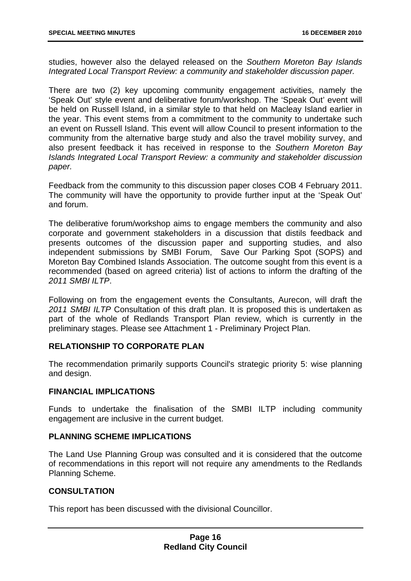studies, however also the delayed released on the *Southern Moreton Bay Islands Integrated Local Transport Review: a community and stakeholder discussion paper.* 

There are two (2) key upcoming community engagement activities, namely the 'Speak Out' style event and deliberative forum/workshop. The 'Speak Out' event will be held on Russell Island, in a similar style to that held on Macleay Island earlier in the year. This event stems from a commitment to the community to undertake such an event on Russell Island. This event will allow Council to present information to the community from the alternative barge study and also the travel mobility survey, and also present feedback it has received in response to the *Southern Moreton Bay Islands Integrated Local Transport Review: a community and stakeholder discussion paper.*

Feedback from the community to this discussion paper closes COB 4 February 2011. The community will have the opportunity to provide further input at the 'Speak Out' and forum.

The deliberative forum/workshop aims to engage members the community and also corporate and government stakeholders in a discussion that distils feedback and presents outcomes of the discussion paper and supporting studies, and also independent submissions by SMBI Forum, Save Our Parking Spot (SOPS) and Moreton Bay Combined Islands Association. The outcome sought from this event is a recommended (based on agreed criteria) list of actions to inform the drafting of the *2011 SMBI ILTP*.

Following on from the engagement events the Consultants, Aurecon, will draft the *2011 SMBI ILTP* Consultation of this draft plan. It is proposed this is undertaken as part of the whole of Redlands Transport Plan review, which is currently in the preliminary stages. Please see Attachment 1 - Preliminary Project Plan.

#### **RELATIONSHIP TO CORPORATE PLAN**

The recommendation primarily supports Council's strategic priority 5: wise planning and design.

#### **FINANCIAL IMPLICATIONS**

Funds to undertake the finalisation of the SMBI ILTP including community engagement are inclusive in the current budget.

#### **PLANNING SCHEME IMPLICATIONS**

The Land Use Planning Group was consulted and it is considered that the outcome of recommendations in this report will not require any amendments to the Redlands Planning Scheme.

#### **CONSULTATION**

This report has been discussed with the divisional Councillor.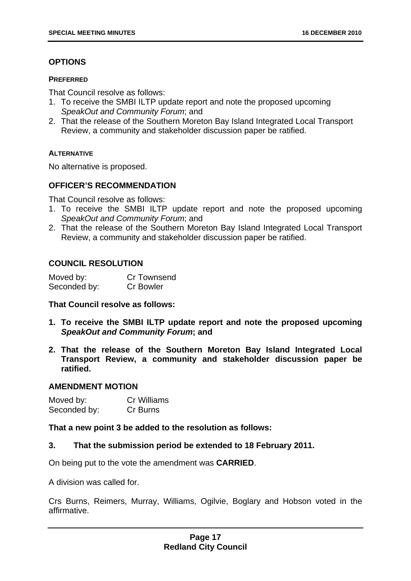#### **OPTIONS**

#### **PREFERRED**

That Council resolve as follows:

- 1. To receive the SMBI ILTP update report and note the proposed upcoming *SpeakOut and Community Forum*; and
- 2. That the release of the Southern Moreton Bay Island Integrated Local Transport Review, a community and stakeholder discussion paper be ratified.

#### **ALTERNATIVE**

No alternative is proposed.

#### **OFFICER'S RECOMMENDATION**

That Council resolve as follows:

- 1. To receive the SMBI ILTP update report and note the proposed upcoming *SpeakOut and Community Forum*; and
- 2. That the release of the Southern Moreton Bay Island Integrated Local Transport Review, a community and stakeholder discussion paper be ratified.

#### **COUNCIL RESOLUTION**

| Moved by:    | Cr Townsend      |
|--------------|------------------|
| Seconded by: | <b>Cr Bowler</b> |

#### **That Council resolve as follows:**

- **1. To receive the SMBI ILTP update report and note the proposed upcoming**  *SpeakOut and Community Forum***; and**
- **2. That the release of the Southern Moreton Bay Island Integrated Local Transport Review, a community and stakeholder discussion paper be ratified.**

#### **AMENDMENT MOTION**

| Moved by:    | <b>Cr Williams</b> |
|--------------|--------------------|
| Seconded by: | Cr Burns           |

**That a new point 3 be added to the resolution as follows:** 

#### **3. That the submission period be extended to 18 February 2011.**

On being put to the vote the amendment was **CARRIED**.

A division was called for.

Crs Burns, Reimers, Murray, Williams, Ogilvie, Boglary and Hobson voted in the affirmative.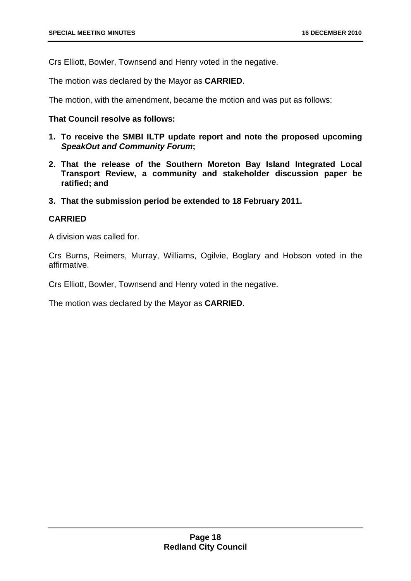Crs Elliott, Bowler, Townsend and Henry voted in the negative.

The motion was declared by the Mayor as **CARRIED**.

The motion, with the amendment, became the motion and was put as follows:

#### **That Council resolve as follows:**

- **1. To receive the SMBI ILTP update report and note the proposed upcoming**  *SpeakOut and Community Forum***;**
- **2. That the release of the Southern Moreton Bay Island Integrated Local Transport Review, a community and stakeholder discussion paper be ratified; and**
- **3. That the submission period be extended to 18 February 2011.**

#### **CARRIED**

A division was called for.

Crs Burns, Reimers, Murray, Williams, Ogilvie, Boglary and Hobson voted in the affirmative.

Crs Elliott, Bowler, Townsend and Henry voted in the negative.

The motion was declared by the Mayor as **CARRIED**.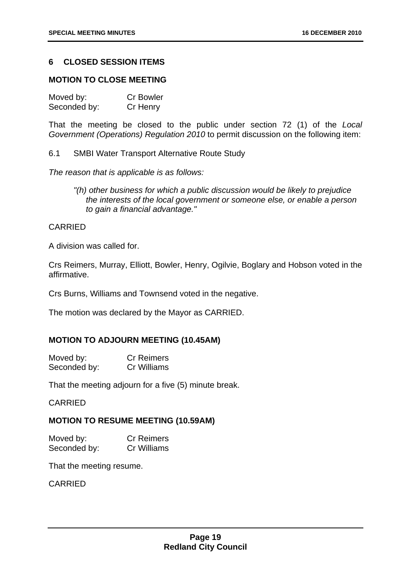#### <span id="page-19-0"></span>**6 CLOSED SESSION ITEMS**

#### **MOTION TO CLOSE MEETING**

| Moved by:    | <b>Cr Bowler</b> |
|--------------|------------------|
| Seconded by: | Cr Henry         |

That the meeting be closed to the public under section 72 (1) of the *Local Government (Operations) Regulation 2010* to permit discussion on the following item:

6.1 SMBI Water Transport Alternative Route Study

*The reason that is applicable is as follows:* 

*"(h) other business for which a public discussion would be likely to prejudice the interests of the local government or someone else, or enable a person to gain a financial advantage."* 

#### CARRIED

A division was called for.

Crs Reimers, Murray, Elliott, Bowler, Henry, Ogilvie, Boglary and Hobson voted in the affirmative.

Crs Burns, Williams and Townsend voted in the negative.

The motion was declared by the Mayor as CARRIED.

#### **MOTION TO ADJOURN MEETING (10.45AM)**

| Moved by:    | <b>Cr Reimers</b> |
|--------------|-------------------|
| Seconded by: | Cr Williams       |

That the meeting adjourn for a five (5) minute break.

CARRIED

#### **MOTION TO RESUME MEETING (10.59AM)**

Moved by: Cr Reimers Seconded by: Cr Williams

That the meeting resume.

CARRIED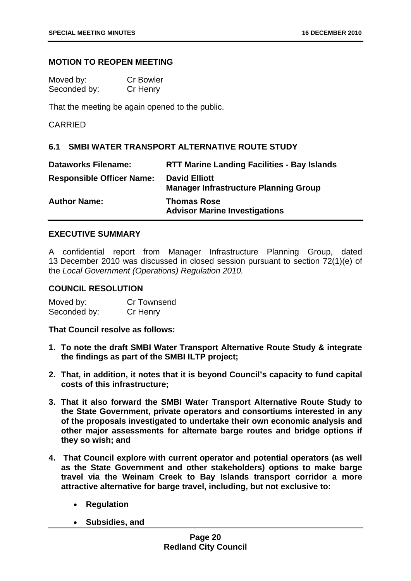#### <span id="page-20-0"></span>**MOTION TO REOPEN MEETING**

| Moved by:    | <b>Cr Bowler</b> |
|--------------|------------------|
| Seconded by: | Cr Henry         |

That the meeting be again opened to the public.

CARRIED

#### **6.1 SMBI WATER TRANSPORT ALTERNATIVE ROUTE STUDY**

| <b>Dataworks Filename:</b>       | <b>RTT Marine Landing Facilities - Bay Islands</b>                   |
|----------------------------------|----------------------------------------------------------------------|
| <b>Responsible Officer Name:</b> | <b>David Elliott</b><br><b>Manager Infrastructure Planning Group</b> |
| <b>Author Name:</b>              | <b>Thomas Rose</b><br><b>Advisor Marine Investigations</b>           |

#### **EXECUTIVE SUMMARY**

A confidential report from Manager Infrastructure Planning Group, dated 13 December 2010 was discussed in closed session pursuant to section 72(1)(e) of the *Local Government (Operations) Regulation 2010.*

#### **COUNCIL RESOLUTION**

| Moved by:    | Cr Townsend |
|--------------|-------------|
| Seconded by: | Cr Henry    |

**That Council resolve as follows:** 

- **1. To note the draft SMBI Water Transport Alternative Route Study & integrate the findings as part of the SMBI ILTP project;**
- **2. That, in addition, it notes that it is beyond Council's capacity to fund capital costs of this infrastructure;**
- **3. That it also forward the SMBI Water Transport Alternative Route Study to the State Government, private operators and consortiums interested in any of the proposals investigated to undertake their own economic analysis and other major assessments for alternate barge routes and bridge options if they so wish; and**
- **4. That Council explore with current operator and potential operators (as well as the State Government and other stakeholders) options to make barge travel via the Weinam Creek to Bay Islands transport corridor a more attractive alternative for barge travel, including, but not exclusive to:** 
	- **Regulation**
	- **Subsidies, and**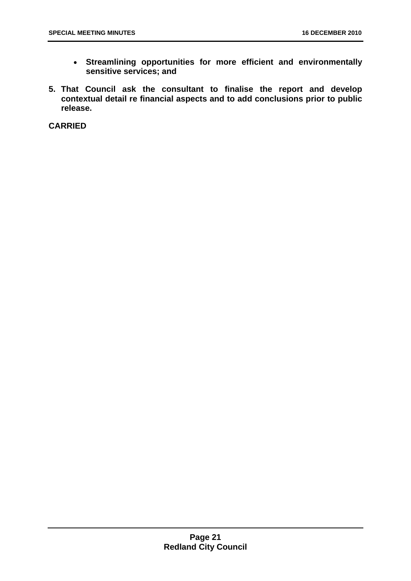- **Streamlining opportunities for more efficient and environmentally sensitive services; and**
- **5. That Council ask the consultant to finalise the report and develop contextual detail re financial aspects and to add conclusions prior to public release.**

**CARRIED**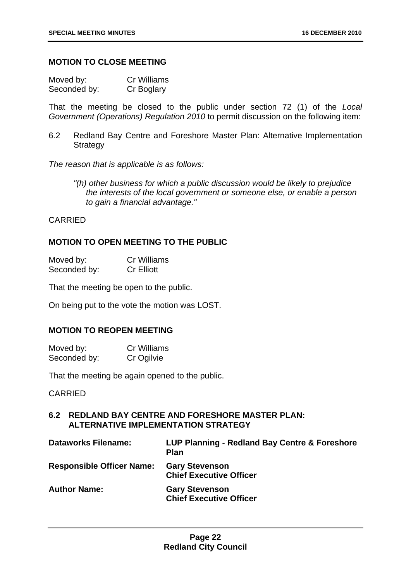#### <span id="page-22-0"></span>**MOTION TO CLOSE MEETING**

| Moved by:    | Cr Williams |
|--------------|-------------|
| Seconded by: | Cr Boglary  |

That the meeting be closed to the public under section 72 (1) of the *Local Government (Operations) Regulation 2010* to permit discussion on the following item:

6.2 Redland Bay Centre and Foreshore Master Plan: Alternative Implementation **Strategy** 

*The reason that is applicable is as follows:* 

*"(h) other business for which a public discussion would be likely to prejudice the interests of the local government or someone else, or enable a person to gain a financial advantage."* 

CARRIED

#### **MOTION TO OPEN MEETING TO THE PUBLIC**

| Moved by:    | <b>Cr Williams</b> |
|--------------|--------------------|
| Seconded by: | <b>Cr Elliott</b>  |

That the meeting be open to the public.

On being put to the vote the motion was LOST.

#### **MOTION TO REOPEN MEETING**

| Moved by:    | <b>Cr Williams</b> |
|--------------|--------------------|
| Seconded by: | Cr Ogilvie         |

That the meeting be again opened to the public.

CARRIED

#### **6.2 REDLAND BAY CENTRE AND FORESHORE MASTER PLAN: ALTERNATIVE IMPLEMENTATION STRATEGY**

| <b>Dataworks Filename:</b>       | LUP Planning - Redland Bay Centre & Foreshore<br><b>Plan</b> |
|----------------------------------|--------------------------------------------------------------|
| <b>Responsible Officer Name:</b> | <b>Gary Stevenson</b><br><b>Chief Executive Officer</b>      |
| <b>Author Name:</b>              | <b>Gary Stevenson</b><br><b>Chief Executive Officer</b>      |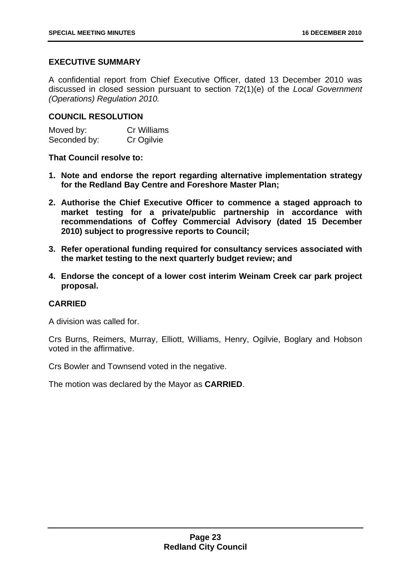#### **EXECUTIVE SUMMARY**

A confidential report from Chief Executive Officer, dated 13 December 2010 was discussed in closed session pursuant to section 72(1)(e) of the *Local Government (Operations) Regulation 2010.*

#### **COUNCIL RESOLUTION**

| Moved by:    | <b>Cr Williams</b> |
|--------------|--------------------|
| Seconded by: | Cr Ogilvie         |

**That Council resolve to:** 

- **1. Note and endorse the report regarding alternative implementation strategy for the Redland Bay Centre and Foreshore Master Plan;**
- **2. Authorise the Chief Executive Officer to commence a staged approach to market testing for a private/public partnership in accordance with recommendations of Coffey Commercial Advisory (dated 15 December 2010) subject to progressive reports to Council;**
- **3. Refer operational funding required for consultancy services associated with the market testing to the next quarterly budget review; and**
- **4. Endorse the concept of a lower cost interim Weinam Creek car park project proposal.**

#### **CARRIED**

A division was called for.

Crs Burns, Reimers, Murray, Elliott, Williams, Henry, Ogilvie, Boglary and Hobson voted in the affirmative.

Crs Bowler and Townsend voted in the negative.

The motion was declared by the Mayor as **CARRIED**.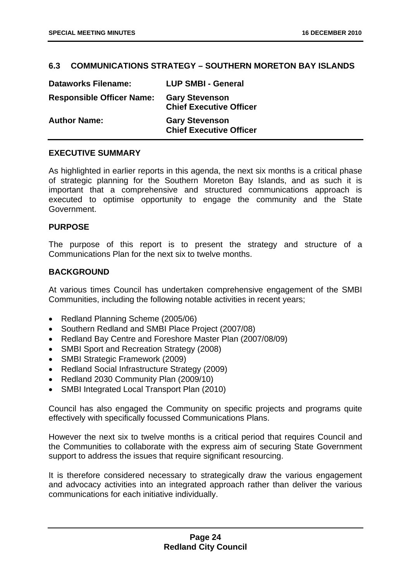#### <span id="page-24-0"></span>**6.3 COMMUNICATIONS STRATEGY – SOUTHERN MORETON BAY ISLANDS**

| <b>Dataworks Filename:</b>       | <b>LUP SMBI - General</b>                               |
|----------------------------------|---------------------------------------------------------|
| <b>Responsible Officer Name:</b> | <b>Gary Stevenson</b><br><b>Chief Executive Officer</b> |
| <b>Author Name:</b>              | <b>Gary Stevenson</b><br><b>Chief Executive Officer</b> |

#### **EXECUTIVE SUMMARY**

As highlighted in earlier reports in this agenda, the next six months is a critical phase of strategic planning for the Southern Moreton Bay Islands, and as such it is important that a comprehensive and structured communications approach is executed to optimise opportunity to engage the community and the State Government.

#### **PURPOSE**

The purpose of this report is to present the strategy and structure of a Communications Plan for the next six to twelve months.

#### **BACKGROUND**

At various times Council has undertaken comprehensive engagement of the SMBI Communities, including the following notable activities in recent years;

- Redland Planning Scheme (2005/06)
- Southern Redland and SMBI Place Project (2007/08)
- Redland Bay Centre and Foreshore Master Plan (2007/08/09)
- SMBI Sport and Recreation Strategy (2008)
- SMBI Strategic Framework (2009)
- Redland Social Infrastructure Strategy (2009)
- Redland 2030 Community Plan (2009/10)
- SMBI Integrated Local Transport Plan (2010)

Council has also engaged the Community on specific projects and programs quite effectively with specifically focussed Communications Plans.

However the next six to twelve months is a critical period that requires Council and the Communities to collaborate with the express aim of securing State Government support to address the issues that require significant resourcing.

It is therefore considered necessary to strategically draw the various engagement and advocacy activities into an integrated approach rather than deliver the various communications for each initiative individually.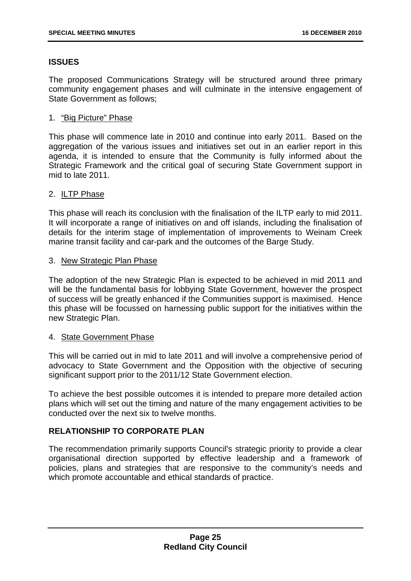#### **ISSUES**

The proposed Communications Strategy will be structured around three primary community engagement phases and will culminate in the intensive engagement of State Government as follows;

#### 1. "Big Picture" Phase

This phase will commence late in 2010 and continue into early 2011. Based on the aggregation of the various issues and initiatives set out in an earlier report in this agenda, it is intended to ensure that the Community is fully informed about the Strategic Framework and the critical goal of securing State Government support in mid to late 2011.

#### 2. ILTP Phase

This phase will reach its conclusion with the finalisation of the ILTP early to mid 2011. It will incorporate a range of initiatives on and off islands, including the finalisation of details for the interim stage of implementation of improvements to Weinam Creek marine transit facility and car-park and the outcomes of the Barge Study.

#### 3. New Strategic Plan Phase

The adoption of the new Strategic Plan is expected to be achieved in mid 2011 and will be the fundamental basis for lobbying State Government, however the prospect of success will be greatly enhanced if the Communities support is maximised. Hence this phase will be focussed on harnessing public support for the initiatives within the new Strategic Plan.

#### 4. State Government Phase

This will be carried out in mid to late 2011 and will involve a comprehensive period of advocacy to State Government and the Opposition with the objective of securing significant support prior to the 2011/12 State Government election.

To achieve the best possible outcomes it is intended to prepare more detailed action plans which will set out the timing and nature of the many engagement activities to be conducted over the next six to twelve months.

#### **RELATIONSHIP TO CORPORATE PLAN**

The recommendation primarily supports Council's strategic priority to provide a clear organisational direction supported by effective leadership and a framework of policies, plans and strategies that are responsive to the community's needs and which promote accountable and ethical standards of practice.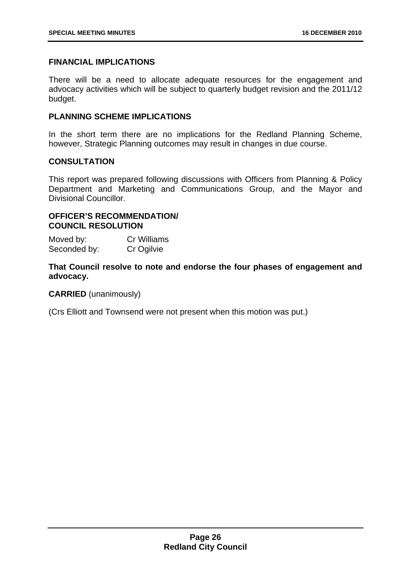#### **FINANCIAL IMPLICATIONS**

There will be a need to allocate adequate resources for the engagement and advocacy activities which will be subject to quarterly budget revision and the 2011/12 budget.

#### **PLANNING SCHEME IMPLICATIONS**

In the short term there are no implications for the Redland Planning Scheme, however, Strategic Planning outcomes may result in changes in due course.

#### **CONSULTATION**

This report was prepared following discussions with Officers from Planning & Policy Department and Marketing and Communications Group, and the Mayor and Divisional Councillor.

#### **OFFICER'S RECOMMENDATION/ COUNCIL RESOLUTION**

Moved by: Cr Williams Seconded by: Cr Ogilvie

**That Council resolve to note and endorse the four phases of engagement and advocacy.** 

**CARRIED** (unanimously)

(Crs Elliott and Townsend were not present when this motion was put.)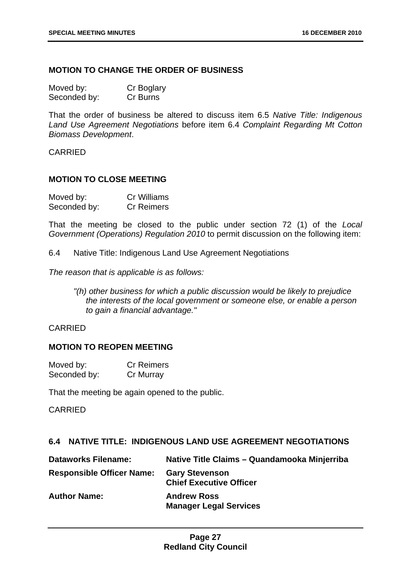#### <span id="page-27-0"></span>**MOTION TO CHANGE THE ORDER OF BUSINESS**

| Moved by:    | Cr Boglary |
|--------------|------------|
| Seconded by: | Cr Burns   |

That the order of business be altered to discuss item 6.5 *Native Title: Indigenous Land Use Agreement Negotiations* before item 6.4 *Complaint Regarding Mt Cotton Biomass Development*.

CARRIED

#### **MOTION TO CLOSE MEETING**

| Moved by:    | <b>Cr Williams</b> |
|--------------|--------------------|
| Seconded by: | <b>Cr Reimers</b>  |

That the meeting be closed to the public under section 72 (1) of the *Local Government (Operations) Regulation 2010* to permit discussion on the following item:

6.4 Native Title: Indigenous Land Use Agreement Negotiations

*The reason that is applicable is as follows:* 

*"(h) other business for which a public discussion would be likely to prejudice the interests of the local government or someone else, or enable a person to gain a financial advantage."* 

#### CARRIED

#### **MOTION TO REOPEN MEETING**

| Moved by:    | <b>Cr Reimers</b> |
|--------------|-------------------|
| Seconded by: | Cr Murray         |

That the meeting be again opened to the public.

CARRIED

#### **6.4 NATIVE TITLE: INDIGENOUS LAND USE AGREEMENT NEGOTIATIONS**

| <b>Dataworks Filename:</b>       | Native Title Claims - Quandamooka Minjerriba            |
|----------------------------------|---------------------------------------------------------|
| <b>Responsible Officer Name:</b> | <b>Gary Stevenson</b><br><b>Chief Executive Officer</b> |
| <b>Author Name:</b>              | <b>Andrew Ross</b><br><b>Manager Legal Services</b>     |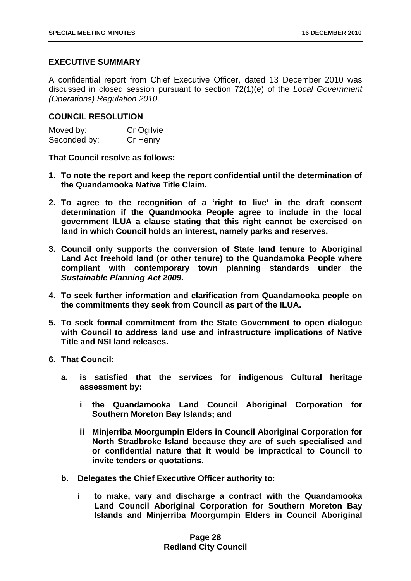#### **EXECUTIVE SUMMARY**

A confidential report from Chief Executive Officer, dated 13 December 2010 was discussed in closed session pursuant to section 72(1)(e) of the *Local Government (Operations) Regulation 2010.*

#### **COUNCIL RESOLUTION**

| Moved by:    | Cr Ogilvie |
|--------------|------------|
| Seconded by: | Cr Henry   |

**That Council resolve as follows:** 

- **1. To note the report and keep the report confidential until the determination of the Quandamooka Native Title Claim.**
- **2. To agree to the recognition of a 'right to live' in the draft consent determination if the Quandmooka People agree to include in the local government ILUA a clause stating that this right cannot be exercised on land in which Council holds an interest, namely parks and reserves.**
- **3. Council only supports the conversion of State land tenure to Aboriginal Land Act freehold land (or other tenure) to the Quandamoka People where compliant with contemporary town planning standards under the**  *Sustainable Planning Act 2009***.**
- **4. To seek further information and clarification from Quandamooka people on the commitments they seek from Council as part of the ILUA.**
- **5. To seek formal commitment from the State Government to open dialogue with Council to address land use and infrastructure implications of Native Title and NSI land releases.**
- **6. That Council:** 
	- **a. is satisfied that the services for indigenous Cultural heritage assessment by:** 
		- **i the Quandamooka Land Council Aboriginal Corporation for Southern Moreton Bay Islands; and**
		- **ii Minjerriba Moorgumpin Elders in Council Aboriginal Corporation for North Stradbroke Island because they are of such specialised and or confidential nature that it would be impractical to Council to invite tenders or quotations.**
	- **b. Delegates the Chief Executive Officer authority to:** 
		- **i to make, vary and discharge a contract with the Quandamooka Land Council Aboriginal Corporation for Southern Moreton Bay Islands and Minjerriba Moorgumpin Elders in Council Aboriginal**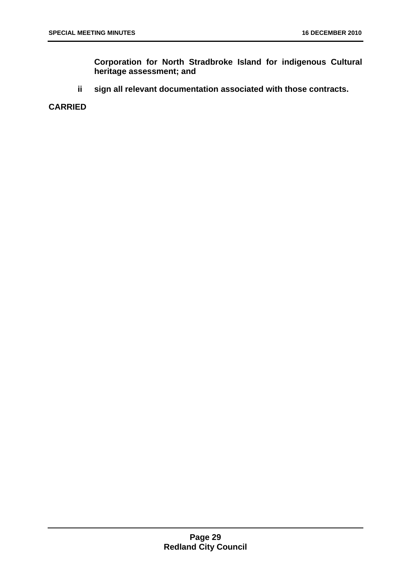**Corporation for North Stradbroke Island for indigenous Cultural heritage assessment; and** 

**ii sign all relevant documentation associated with those contracts.** 

**CARRIED**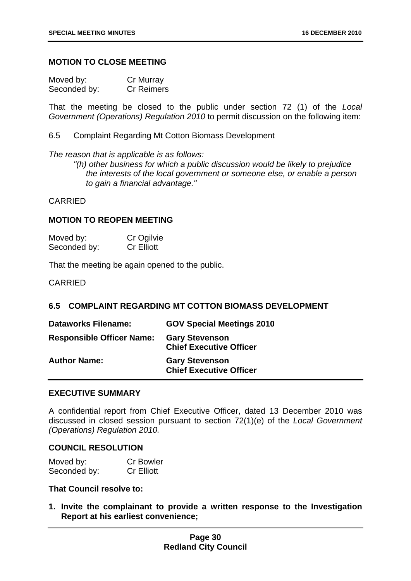#### <span id="page-30-0"></span>**MOTION TO CLOSE MEETING**

| Moved by:    | Cr Murray         |
|--------------|-------------------|
| Seconded by: | <b>Cr Reimers</b> |

That the meeting be closed to the public under section 72 (1) of the *Local Government (Operations) Regulation 2010* to permit discussion on the following item:

6.5 Complaint Regarding Mt Cotton Biomass Development

*The reason that is applicable is as follows:* 

*"(h) other business for which a public discussion would be likely to prejudice the interests of the local government or someone else, or enable a person to gain a financial advantage."* 

#### CARRIED

#### **MOTION TO REOPEN MEETING**

| Moved by:    | Cr Ogilvie        |
|--------------|-------------------|
| Seconded by: | <b>Cr Elliott</b> |

That the meeting be again opened to the public.

CARRIED

#### **6.5 COMPLAINT REGARDING MT COTTON BIOMASS DEVELOPMENT**

| <b>Dataworks Filename:</b>       | <b>GOV Special Meetings 2010</b>                        |
|----------------------------------|---------------------------------------------------------|
| <b>Responsible Officer Name:</b> | <b>Gary Stevenson</b><br><b>Chief Executive Officer</b> |
| <b>Author Name:</b>              | <b>Gary Stevenson</b><br><b>Chief Executive Officer</b> |

#### **EXECUTIVE SUMMARY**

A confidential report from Chief Executive Officer, dated 13 December 2010 was discussed in closed session pursuant to section 72(1)(e) of the *Local Government (Operations) Regulation 2010.*

#### **COUNCIL RESOLUTION**

| Moved by:    | <b>Cr Bowler</b>  |
|--------------|-------------------|
| Seconded by: | <b>Cr Elliott</b> |

#### **That Council resolve to:**

**1. Invite the complainant to provide a written response to the Investigation Report at his earliest convenience;**